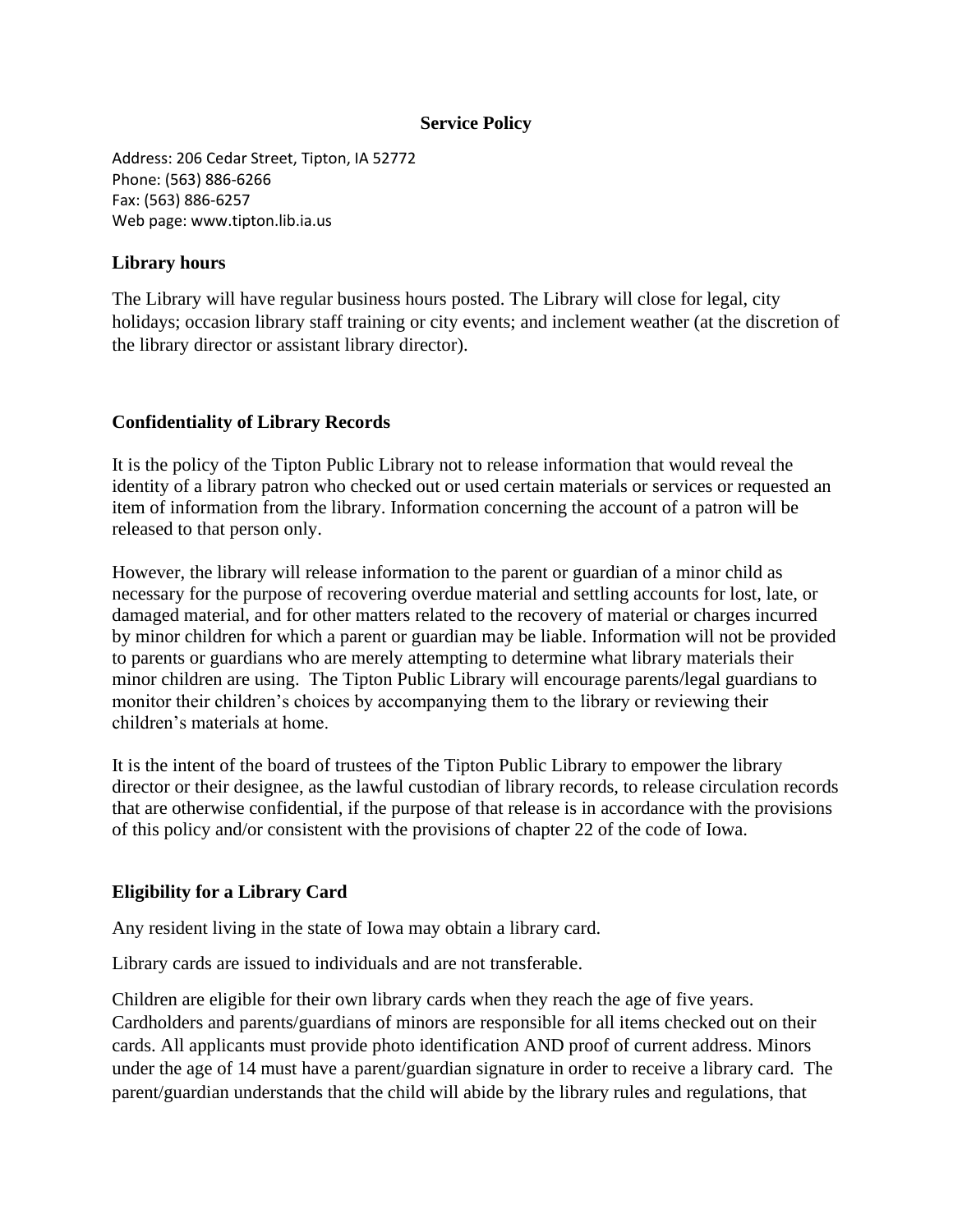#### **Service Policy**

Address: 206 Cedar Street, Tipton, IA 52772 Phone: (563) 886-6266 Fax: (563) 886-6257 Web page: www.tipton.lib.ia.us

#### **Library hours**

The Library will have regular business hours posted. The Library will close for legal, city holidays; occasion library staff training or city events; and inclement weather (at the discretion of the library director or assistant library director).

# **Confidentiality of Library Records**

It is the policy of the Tipton Public Library not to release information that would reveal the identity of a library patron who checked out or used certain materials or services or requested an item of information from the library. Information concerning the account of a patron will be released to that person only.

However, the library will release information to the parent or guardian of a minor child as necessary for the purpose of recovering overdue material and settling accounts for lost, late, or damaged material, and for other matters related to the recovery of material or charges incurred by minor children for which a parent or guardian may be liable. Information will not be provided to parents or guardians who are merely attempting to determine what library materials their minor children are using. The Tipton Public Library will encourage parents/legal guardians to monitor their children's choices by accompanying them to the library or reviewing their children's materials at home.

It is the intent of the board of trustees of the Tipton Public Library to empower the library director or their designee, as the lawful custodian of library records, to release circulation records that are otherwise confidential, if the purpose of that release is in accordance with the provisions of this policy and/or consistent with the provisions of chapter 22 of the code of Iowa.

# **Eligibility for a Library Card**

Any resident living in the state of Iowa may obtain a library card.

Library cards are issued to individuals and are not transferable.

Children are eligible for their own library cards when they reach the age of five years. Cardholders and parents/guardians of minors are responsible for all items checked out on their cards. All applicants must provide photo identification AND proof of current address. Minors under the age of 14 must have a parent/guardian signature in order to receive a library card. The parent/guardian understands that the child will abide by the library rules and regulations, that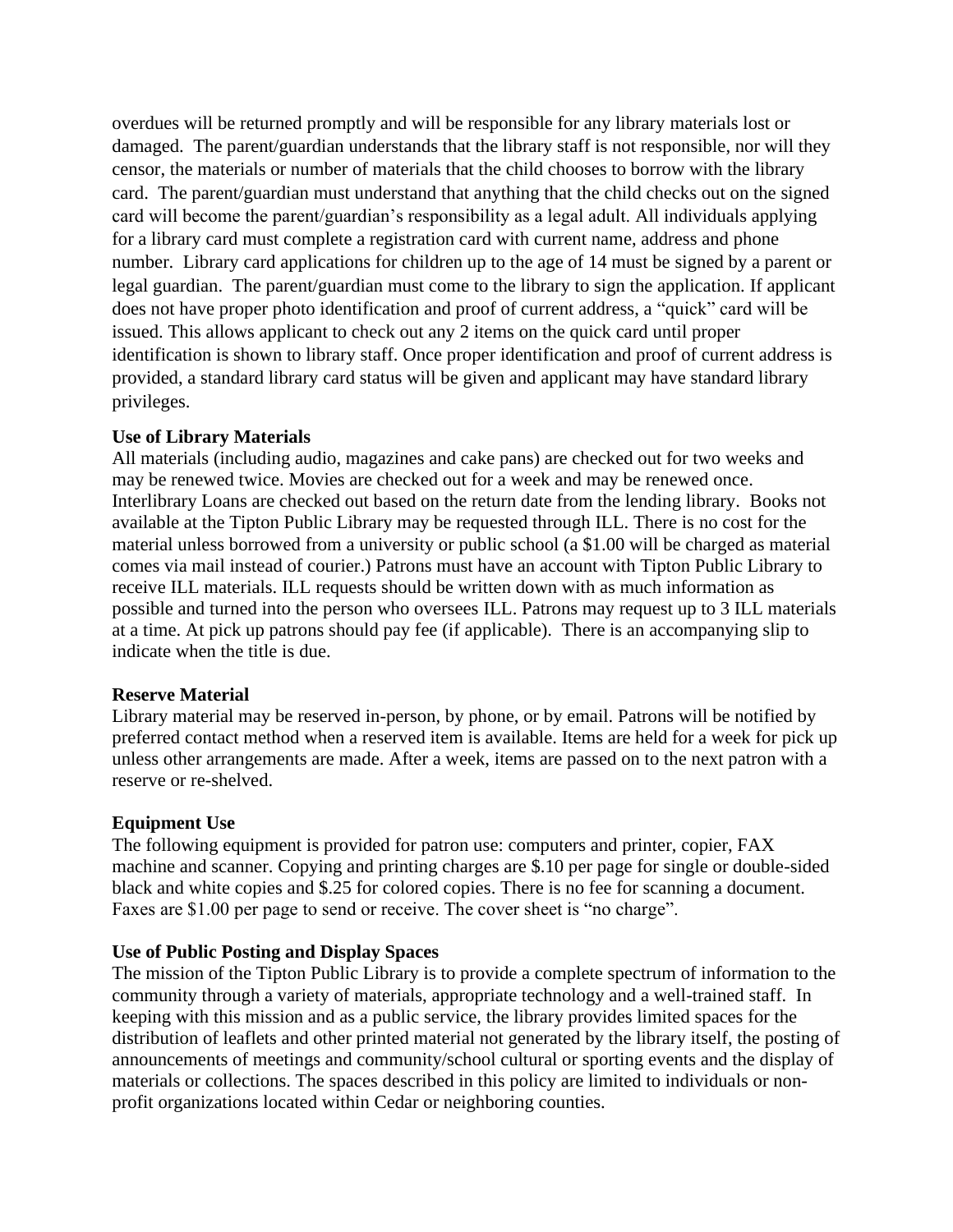overdues will be returned promptly and will be responsible for any library materials lost or damaged. The parent/guardian understands that the library staff is not responsible, nor will they censor, the materials or number of materials that the child chooses to borrow with the library card. The parent/guardian must understand that anything that the child checks out on the signed card will become the parent/guardian's responsibility as a legal adult. All individuals applying for a library card must complete a registration card with current name, address and phone number. Library card applications for children up to the age of 14 must be signed by a parent or legal guardian. The parent/guardian must come to the library to sign the application. If applicant does not have proper photo identification and proof of current address, a "quick" card will be issued. This allows applicant to check out any 2 items on the quick card until proper identification is shown to library staff. Once proper identification and proof of current address is provided, a standard library card status will be given and applicant may have standard library privileges.

#### **Use of Library Materials**

All materials (including audio, magazines and cake pans) are checked out for two weeks and may be renewed twice. Movies are checked out for a week and may be renewed once. Interlibrary Loans are checked out based on the return date from the lending library. Books not available at the Tipton Public Library may be requested through ILL. There is no cost for the material unless borrowed from a university or public school (a \$1.00 will be charged as material comes via mail instead of courier.) Patrons must have an account with Tipton Public Library to receive ILL materials. ILL requests should be written down with as much information as possible and turned into the person who oversees ILL. Patrons may request up to 3 ILL materials at a time. At pick up patrons should pay fee (if applicable). There is an accompanying slip to indicate when the title is due.

# **Reserve Material**

Library material may be reserved in-person, by phone, or by email. Patrons will be notified by preferred contact method when a reserved item is available. Items are held for a week for pick up unless other arrangements are made. After a week, items are passed on to the next patron with a reserve or re-shelved.

# **Equipment Use**

The following equipment is provided for patron use: computers and printer, copier, FAX machine and scanner. Copying and printing charges are \$.10 per page for single or double-sided black and white copies and \$.25 for colored copies. There is no fee for scanning a document. Faxes are \$1.00 per page to send or receive. The cover sheet is "no charge".

# **Use of Public Posting and Display Spaces**

The mission of the Tipton Public Library is to provide a complete spectrum of information to the community through a variety of materials, appropriate technology and a well-trained staff. In keeping with this mission and as a public service, the library provides limited spaces for the distribution of leaflets and other printed material not generated by the library itself, the posting of announcements of meetings and community/school cultural or sporting events and the display of materials or collections. The spaces described in this policy are limited to individuals or nonprofit organizations located within Cedar or neighboring counties.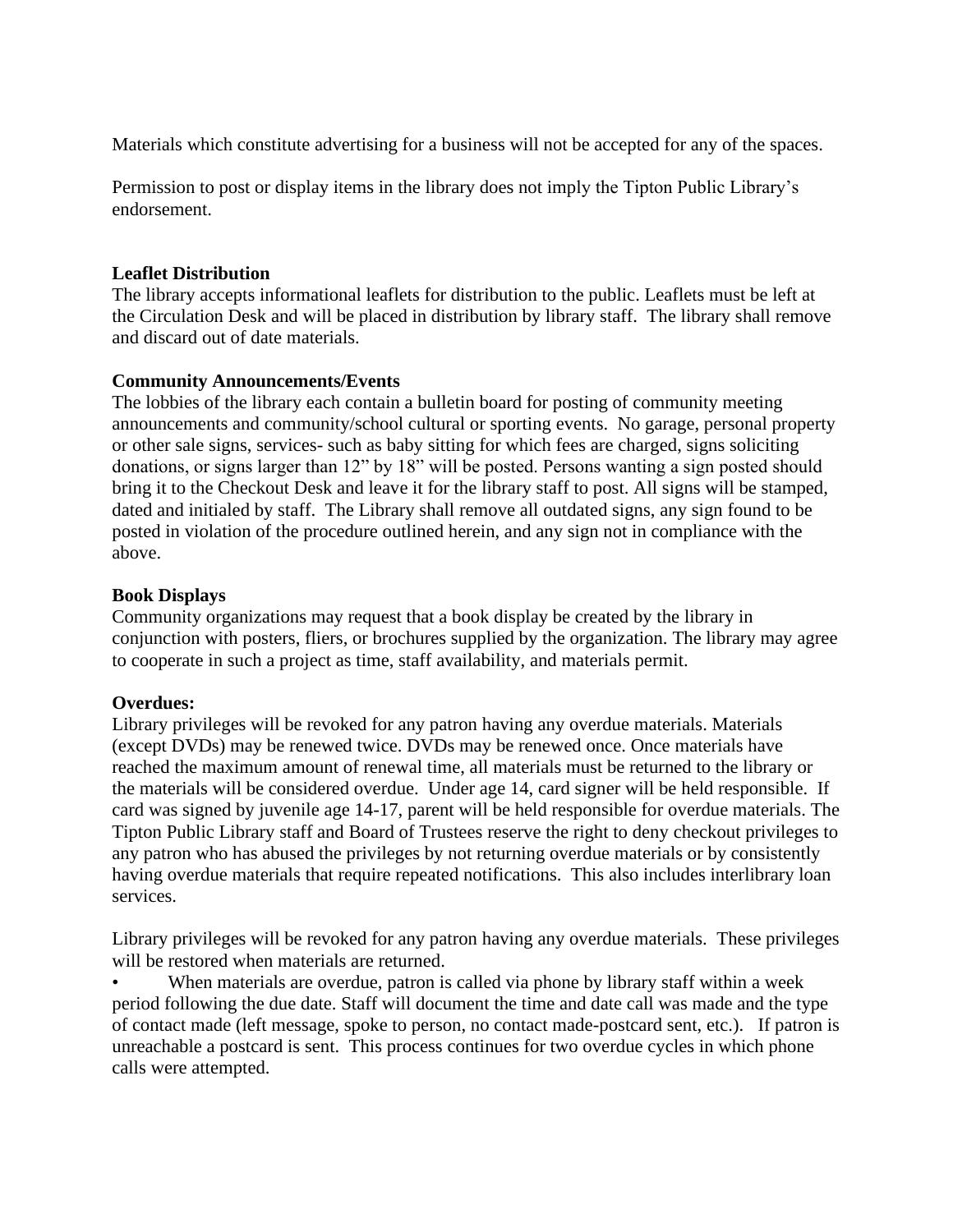Materials which constitute advertising for a business will not be accepted for any of the spaces.

Permission to post or display items in the library does not imply the Tipton Public Library's endorsement.

## **Leaflet Distribution**

The library accepts informational leaflets for distribution to the public. Leaflets must be left at the Circulation Desk and will be placed in distribution by library staff. The library shall remove and discard out of date materials.

## **Community Announcements/Events**

The lobbies of the library each contain a bulletin board for posting of community meeting announcements and community/school cultural or sporting events. No garage, personal property or other sale signs, services- such as baby sitting for which fees are charged, signs soliciting donations, or signs larger than 12" by 18" will be posted. Persons wanting a sign posted should bring it to the Checkout Desk and leave it for the library staff to post. All signs will be stamped, dated and initialed by staff. The Library shall remove all outdated signs, any sign found to be posted in violation of the procedure outlined herein, and any sign not in compliance with the above.

## **Book Displays**

Community organizations may request that a book display be created by the library in conjunction with posters, fliers, or brochures supplied by the organization. The library may agree to cooperate in such a project as time, staff availability, and materials permit.

#### **Overdues:**

Library privileges will be revoked for any patron having any overdue materials. Materials (except DVDs) may be renewed twice. DVDs may be renewed once. Once materials have reached the maximum amount of renewal time, all materials must be returned to the library or the materials will be considered overdue. Under age 14, card signer will be held responsible. If card was signed by juvenile age 14-17, parent will be held responsible for overdue materials. The Tipton Public Library staff and Board of Trustees reserve the right to deny checkout privileges to any patron who has abused the privileges by not returning overdue materials or by consistently having overdue materials that require repeated notifications. This also includes interlibrary loan services.

Library privileges will be revoked for any patron having any overdue materials. These privileges will be restored when materials are returned.

When materials are overdue, patron is called via phone by library staff within a week period following the due date. Staff will document the time and date call was made and the type of contact made (left message, spoke to person, no contact made-postcard sent, etc.). If patron is unreachable a postcard is sent. This process continues for two overdue cycles in which phone calls were attempted.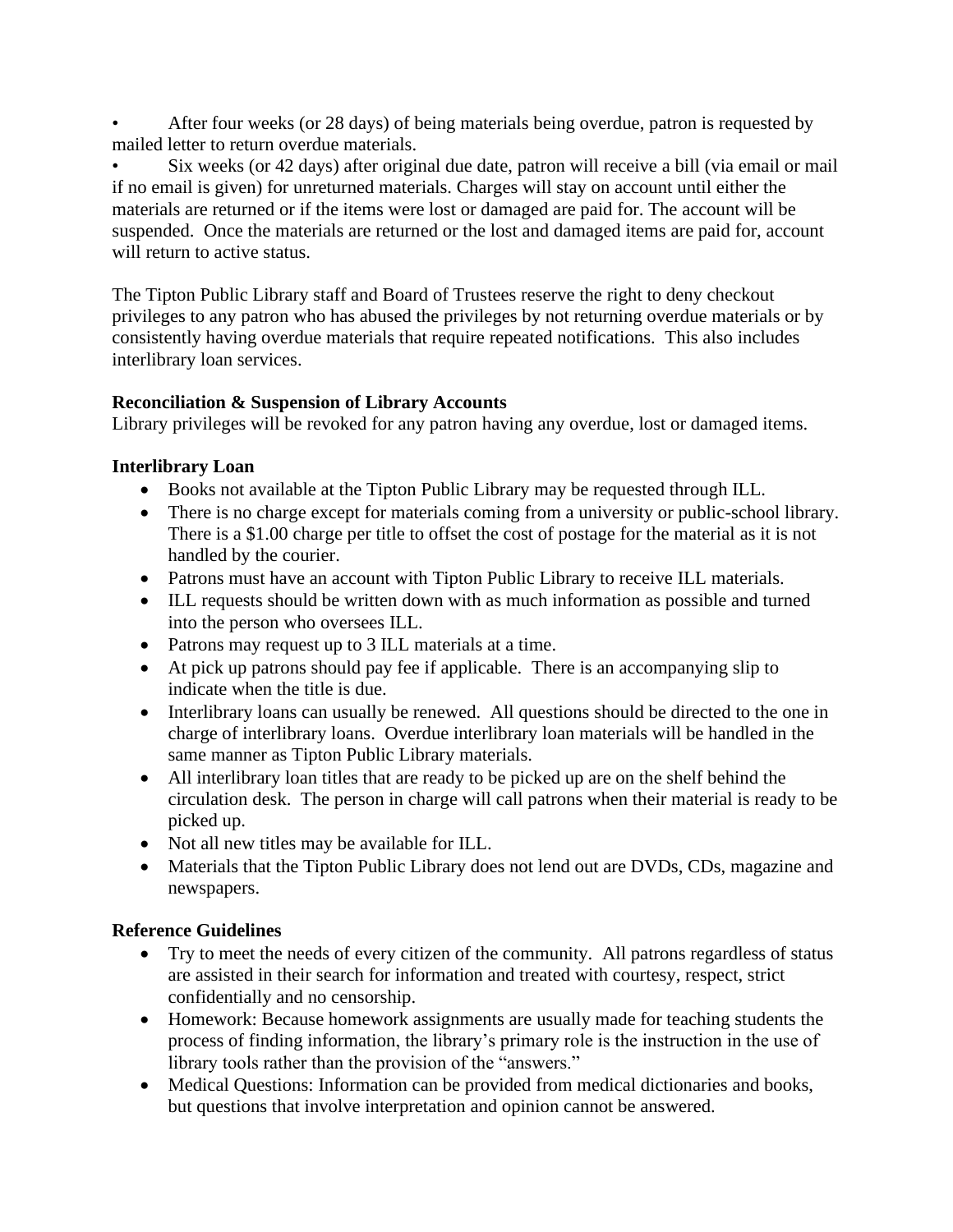• After four weeks (or 28 days) of being materials being overdue, patron is requested by mailed letter to return overdue materials.

• Six weeks (or 42 days) after original due date, patron will receive a bill (via email or mail if no email is given) for unreturned materials. Charges will stay on account until either the materials are returned or if the items were lost or damaged are paid for. The account will be suspended. Once the materials are returned or the lost and damaged items are paid for, account will return to active status.

The Tipton Public Library staff and Board of Trustees reserve the right to deny checkout privileges to any patron who has abused the privileges by not returning overdue materials or by consistently having overdue materials that require repeated notifications. This also includes interlibrary loan services.

# **Reconciliation & Suspension of Library Accounts**

Library privileges will be revoked for any patron having any overdue, lost or damaged items.

# **Interlibrary Loan**

- Books not available at the Tipton Public Library may be requested through ILL.
- There is no charge except for materials coming from a university or public-school library. There is a \$1.00 charge per title to offset the cost of postage for the material as it is not handled by the courier.
- Patrons must have an account with Tipton Public Library to receive ILL materials.
- ILL requests should be written down with as much information as possible and turned into the person who oversees ILL.
- Patrons may request up to 3 ILL materials at a time.
- At pick up patrons should pay fee if applicable. There is an accompanying slip to indicate when the title is due.
- Interlibrary loans can usually be renewed. All questions should be directed to the one in charge of interlibrary loans. Overdue interlibrary loan materials will be handled in the same manner as Tipton Public Library materials.
- All interlibrary loan titles that are ready to be picked up are on the shelf behind the circulation desk. The person in charge will call patrons when their material is ready to be picked up.
- Not all new titles may be available for ILL.
- Materials that the Tipton Public Library does not lend out are DVDs, CDs, magazine and newspapers.

# **Reference Guidelines**

- Try to meet the needs of every citizen of the community. All patrons regardless of status are assisted in their search for information and treated with courtesy, respect, strict confidentially and no censorship.
- Homework: Because homework assignments are usually made for teaching students the process of finding information, the library's primary role is the instruction in the use of library tools rather than the provision of the "answers."
- Medical Questions: Information can be provided from medical dictionaries and books, but questions that involve interpretation and opinion cannot be answered.